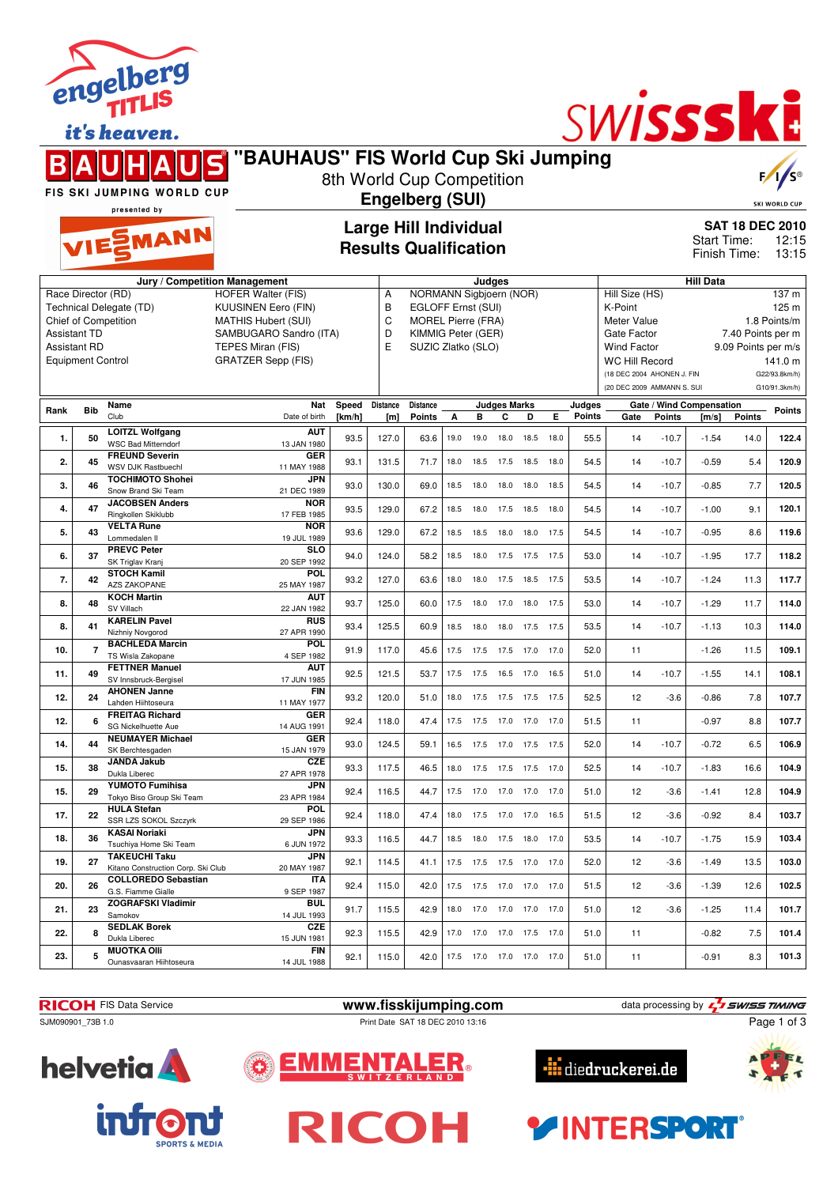|                                                                                                                                                                                                                                               |                | enger.<br><b>TITLIS</b>                                    |                                     |                 |                       |                                                                                                                        |                        |           |                          |      |      |                  | SWISSSKE                                                                      |                                                                                   |                                                                            |                        |                                           |  |
|-----------------------------------------------------------------------------------------------------------------------------------------------------------------------------------------------------------------------------------------------|----------------|------------------------------------------------------------|-------------------------------------|-----------------|-----------------------|------------------------------------------------------------------------------------------------------------------------|------------------------|-----------|--------------------------|------|------|------------------|-------------------------------------------------------------------------------|-----------------------------------------------------------------------------------|----------------------------------------------------------------------------|------------------------|-------------------------------------------|--|
|                                                                                                                                                                                                                                               |                | it's heaven.                                               | "BAUHAUS" FIS World Cup Ski Jumping |                 |                       |                                                                                                                        |                        |           |                          |      |      |                  |                                                                               |                                                                                   |                                                                            |                        |                                           |  |
|                                                                                                                                                                                                                                               |                | FIS SKI JUMPING WORLD CUP                                  |                                     |                 |                       | 8th World Cup Competition                                                                                              |                        |           |                          |      |      |                  |                                                                               |                                                                                   |                                                                            |                        |                                           |  |
|                                                                                                                                                                                                                                               | presented by   |                                                            |                                     |                 |                       |                                                                                                                        | <b>Engelberg (SUI)</b> |           |                          |      |      |                  |                                                                               |                                                                                   | <b>SKI WORLD CUP</b>                                                       |                        |                                           |  |
| VIESMANN                                                                                                                                                                                                                                      |                |                                                            |                                     |                 |                       | <b>Large Hill Individual</b><br><b>Results Qualification</b>                                                           |                        |           |                          |      |      |                  |                                                                               |                                                                                   | Start Time:<br>Finish Time:                                                | <b>SAT 18 DEC 2010</b> | 12:15<br>13:15                            |  |
|                                                                                                                                                                                                                                               |                |                                                            | Jury / Competition Management       |                 |                       |                                                                                                                        |                        | Judges    |                          |      |      |                  |                                                                               |                                                                                   | <b>Hill Data</b>                                                           |                        |                                           |  |
| Race Director (RD)<br><b>HOFER Walter (FIS)</b><br>Technical Delegate (TD)<br><b>KUUSINEN Eero (FIN)</b><br>Chief of Competition<br><b>MATHIS Hubert (SUI)</b><br>Assistant TD<br>SAMBUGARO Sandro (ITA)<br>Assistant RD<br>TEPES Miran (FIS) |                |                                                            |                                     |                 | Α<br>В<br>C<br>D<br>E | NORMANN Sigbjoern (NOR)<br>EGLOFF Ernst (SUI)<br><b>MOREL Pierre (FRA)</b><br>KIMMIG Peter (GER)<br>SUZIC Zlatko (SLO) |                        |           |                          |      |      |                  | Hill Size (HS)<br>K-Point<br>Meter Value<br>Gate Factor<br><b>Wind Factor</b> |                                                                                   | 137 m<br>125 m<br>1.8 Points/m<br>7.40 Points per m<br>9.09 Points per m/s |                        |                                           |  |
| <b>Equipment Control</b>                                                                                                                                                                                                                      |                |                                                            | <b>GRATZER Sepp (FIS)</b>           |                 |                       |                                                                                                                        |                        |           |                          |      |      |                  |                                                                               | <b>WC Hill Record</b><br>(18 DEC 2004 AHONEN J. FIN<br>(20 DEC 2009 AMMANN S. SUI |                                                                            |                        | 141.0 m<br>G22/93.8km/h)<br>G10/91.3km/h) |  |
| Rank                                                                                                                                                                                                                                          | <b>Bib</b>     | Name<br>Club                                               | Nat<br>Date of birth                | Speed<br>[km/h] | Distance<br>[m]       | Distance<br><b>Points</b>                                                                                              | А                      | в         | <b>Judges Marks</b><br>С | D    | Е    | Judges<br>Points | Gate                                                                          | <b>Points</b>                                                                     | Gate / Wind Compensation<br>[m/s]                                          | <b>Points</b>          | <b>Points</b>                             |  |
| 1.                                                                                                                                                                                                                                            | 50             | LOITZL Wolfgang<br><b>WSC Bad Mitterndorf</b>              | <b>AUT</b><br>13 JAN 1980           | 93.5            | 127.0                 | 63.6                                                                                                                   | 19.0                   | 19.0      | 18.0                     | 18.5 | 18.0 | 55.5             | 14                                                                            | $-10.7$                                                                           | $-1.54$                                                                    | 14.0                   | 122.4                                     |  |
| 2.                                                                                                                                                                                                                                            | 45             | <b>FREUND Severin</b><br>WSV DJK Rastbuechl                | GER<br>11 MAY 1988                  | 93.1            | 131.5                 | 71.7                                                                                                                   | 18.0                   | 18.5      | 17.5                     | 18.5 | 18.0 | 54.5             | 14                                                                            | $-10.7$                                                                           | $-0.59$                                                                    | 5.4                    | 120.9                                     |  |
| 3.                                                                                                                                                                                                                                            | 46             | <b>TOCHIMOTO Shohei</b><br>Snow Brand Ski Team             | <b>JPN</b><br>21 DEC 1989           | 93.0            | 130.0                 | 69.0                                                                                                                   | 18.5                   | 18.0      | 18.0                     | 18.0 | 18.5 | 54.5             | 14                                                                            | $-10.7$                                                                           | $-0.85$                                                                    | 7.7                    | 120.5                                     |  |
| 4.                                                                                                                                                                                                                                            | 47             | <b>JACOBSEN Anders</b><br>Ringkollen Skiklubb              | <b>NOR</b><br>17 FEB 1985           | 93.5            | 129.0                 | 67.2                                                                                                                   | 18.5                   | 18.0      | 17.5                     | 18.5 | 18.0 | 54.5             | 14                                                                            | $-10.7$                                                                           | $-1.00$                                                                    | 9.1                    | 120.1                                     |  |
| 5.                                                                                                                                                                                                                                            | 43             | <b>VELTA Rune</b><br>Lommedalen II                         | <b>NOR</b><br>19 JUL 1989           | 93.6            | 129.0                 | 67.2                                                                                                                   | 18.5                   | 18.5      | 18.0                     | 18.0 | 17.5 | 54.5             | 14                                                                            | $-10.7$                                                                           | $-0.95$                                                                    | 8.6                    | 119.6                                     |  |
| 6.                                                                                                                                                                                                                                            | 37             | <b>PREVC Peter</b><br>SK Triglav Kranj                     | <b>SLO</b><br>20 SEP 1992           | 94.0            | 124.0                 | 58.2                                                                                                                   | 18.5                   | 18.0      | 17.5                     | 17.5 | 17.5 | 53.0             | 14                                                                            | $-10.7$                                                                           | $-1.95$                                                                    | 17.7                   | 118.2                                     |  |
| 7.                                                                                                                                                                                                                                            | 42             | <b>STOCH Kamil</b><br><b>AZS ZAKOPANE</b>                  | <b>POL</b><br>25 MAY 1987           | 93.2            | 127.0                 | 63.6                                                                                                                   | 18.0                   | 18.0      | 17.5                     | 18.5 | 17.5 | 53.5             | 14                                                                            | $-10.7$                                                                           | $-1.24$                                                                    | 11.3                   | 117.7                                     |  |
| 8.                                                                                                                                                                                                                                            | 48             | <b>KOCH Martin</b><br>SV Villach                           | <b>AUT</b><br>22 JAN 1982           | 93.7            | 125.0                 | 60.0                                                                                                                   | 17.5                   | 18.0      | 17.0                     | 18.0 | 17.5 | 53.0             | 14                                                                            | $-10.7$                                                                           | $-1.29$                                                                    | 11.7                   | 114.0                                     |  |
| 8.                                                                                                                                                                                                                                            | 41             | <b>KARELIN Pavel</b><br>Nizhniy Novgorod                   | <b>RUS</b><br>27 APR 1990           | 93.4            | 125.5                 | 60.9                                                                                                                   | 18.5                   | 18.0      | 18.0                     | 17.5 | 17.5 | 53.5             | 14                                                                            | $-10.7$                                                                           | $-1.13$                                                                    | 10.3                   | 114.0                                     |  |
| 10.                                                                                                                                                                                                                                           | $\overline{7}$ | <b>BACHLEDA Marcin</b><br>TS Wisla Zakopane                | <b>POL</b><br>4 SEP 1982            | 91.9            | 117.0                 | 45.6                                                                                                                   | 17.5                   | 17.5      | 17.5                     | 17.0 | 17.0 | 52.0             | 11                                                                            |                                                                                   | $-1.26$                                                                    | 11.5                   | 109.1                                     |  |
| 11.                                                                                                                                                                                                                                           | 49             | <b>FETTNER Manuel</b><br>SV Innsbruck-Bergisel             | <b>AUT</b><br>17 JUN 1985           | 92.5            | 121.5                 | 53.7                                                                                                                   | 17.5                   | 17.5      | 16.5 17.0                |      | 16.5 | 51.0             | 14                                                                            | $-10.7$                                                                           | $-1.55$                                                                    | 14.1                   | 108.1                                     |  |
| 12.                                                                                                                                                                                                                                           | 24             | <b>AHONEN Janne</b><br>Lahden Hiihtoseura                  | <b>FIN</b><br>11 MAY 1977           | 93.2            | 120.0                 | 51.0                                                                                                                   |                        |           | 18.0 17.5 17.5 17.5      |      | 17.5 | 52.5             | 12                                                                            | $-3.6$                                                                            | $-0.86$                                                                    | 7.8                    | 107.7                                     |  |
| 12.                                                                                                                                                                                                                                           |                | <b>FREITAG Richard</b><br>SG Nickelhuette Aue              | <b>GER</b><br>14 AUG 1991           | 92.4            | 118.0                 | 47.4                                                                                                                   | 17.5                   | 17.5      | $17.0$ 17.0              |      |      | 51.5             | 11                                                                            |                                                                                   | $-0.97$                                                                    | 8.8                    | 107.7                                     |  |
| 14.                                                                                                                                                                                                                                           | 44             | <b>NEUMAYER Michael</b><br>SK Berchtesgaden                | GER<br>15 JAN 1979                  | 93.0            | 124.5                 | 59.1                                                                                                                   |                        |           | 16.5 17.5 17.0 17.5 17.5 |      |      | 52.0             | 14                                                                            | $-10.7$                                                                           | $-0.72$                                                                    | 6.5                    | 106.9                                     |  |
| 15.                                                                                                                                                                                                                                           | 38             | <b>JANDA Jakub</b><br>Dukla Liberec                        | <b>CZE</b><br>27 APR 1978           | 93.3            | 117.5                 | 46.5                                                                                                                   |                        |           | 18.0 17.5 17.5 17.5 17.0 |      |      | 52.5             | 14                                                                            | $-10.7$                                                                           | $-1.83$                                                                    | 16.6                   | 104.9                                     |  |
| 15.                                                                                                                                                                                                                                           | 29             | <b>YUMOTO Fumihisa</b><br>Tokyo Biso Group Ski Team        | <b>JPN</b><br>23 APR 1984           | 92.4            | 116.5                 | 44.7                                                                                                                   |                        |           | 17.5 17.0 17.0 17.0 17.0 |      |      | 51.0             | 12                                                                            | $-3.6$                                                                            | $-1.41$                                                                    | 12.8                   | 104.9                                     |  |
| 17.                                                                                                                                                                                                                                           | 22             | <b>HULA Stefan</b><br>SSR LZS SOKOL Szczyrk                | <b>POL</b><br>29 SEP 1986           | 92.4            | 118.0                 | 47.4                                                                                                                   |                        | 18.0 17.5 | 17.0 17.0 16.5           |      |      | 51.5             | 12                                                                            | $-3.6$                                                                            | $-0.92$                                                                    | 8.4                    | 103.7                                     |  |
| 18.                                                                                                                                                                                                                                           | 36             | <b>KASAI Noriaki</b><br>Tsuchiya Home Ski Team             | <b>JPN</b><br>6 JUN 1972            | 93.3            | 116.5                 | 44.7                                                                                                                   |                        |           | 18.5 18.0 17.5 18.0 17.0 |      |      | 53.5             | 14                                                                            | $-10.7$                                                                           | $-1.75$                                                                    | 15.9                   | 103.4                                     |  |
| 19.                                                                                                                                                                                                                                           | 27             | <b>TAKEUCHI Taku</b><br>Kitano Construction Corp. Ski Club | <b>JPN</b><br>20 MAY 1987           | 92.1            | 114.5                 | 41.1                                                                                                                   | 17.5                   |           | 17.5 17.5 17.0 17.0      |      |      | 52.0             | 12                                                                            | $-3.6$                                                                            | $-1.49$                                                                    | 13.5                   | 103.0                                     |  |
| 20.                                                                                                                                                                                                                                           | 26             | <b>COLLOREDO Sebastian</b><br>G.S. Fiamme Gialle           | <b>ITA</b><br>9 SEP 1987            | 92.4            | 115.0                 | 42.0                                                                                                                   |                        |           | 17.5 17.5 17.0 17.0 17.0 |      |      | 51.5             | 12                                                                            | $-3.6$                                                                            | $-1.39$                                                                    | 12.6                   | 102.5                                     |  |



**21. 23 ZOGRAFSKI Vladimir** Samokov

Ounasvaaran Hiihtoseura

**22. 8 SEDLAK Borek** Dukla Liberec

**23. 5 MUOTKA Olli**



SJM090901\_73B 1.0 Print Date SAT 18 DEC 2010 13:16

**BUL**<br>14 JUL 1993

**CZE**<br>15 JUN 1981

**FIN**<br>14 JUL 1988



**RICOH** FIS Data Service **www.fisskijumping.com** data processing by  $\frac{7}{2}$  **swiss TIMING** 



14 JUL 1993 91.7 115.5 42.9 18.0 17.0 17.0 17.0 17.0 51.0 12 -3.6 -1.25 11.4 **101.7**

15 JUN 1981 92.3 115.5 42.9 17.0 17.0 17.0 17.5 17.0 51.0 11 -0.82 7.5 **101.4**

14 JUL 1988 92.1 115.0 42.0 17.5 17.0 17.0 17.0 17.0 51.0 11 -0.91 8.3 **101.3**



**YINTERSPORT** 



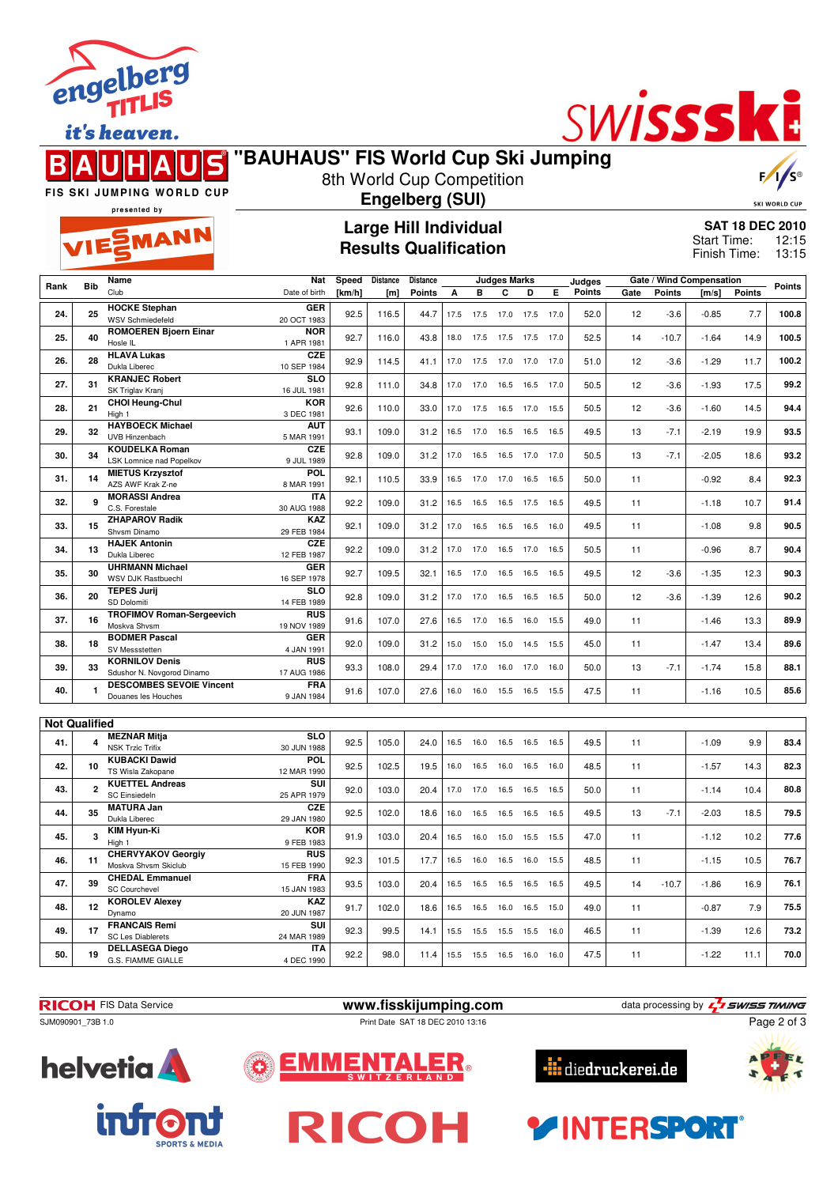

it's heaven.

#### S R

# SWISSSKI

| "BAUHAUS" FIS World Cup Ski Jumping |  |
|-------------------------------------|--|
| 8th World Cup Competition           |  |



FIS SKI JUMPING WORLD CUP presented by

EMANN

## **Engelberg (SUI)**

**Large Hill Individual Results Qualification**

**SKI WORLD CUP SAT 18 DEC 2010**

12:15 13:15 Start Time: Finish Time:

|                      |              | Name                                            | Nat                       | Speed      | <b>Distance</b> | Distance      |      |      | <b>Judges Marks</b> |      |      | Judges        |      |               | Gate / Wind Compensation |               |               |
|----------------------|--------------|-------------------------------------------------|---------------------------|------------|-----------------|---------------|------|------|---------------------|------|------|---------------|------|---------------|--------------------------|---------------|---------------|
| Rank                 | <b>Bib</b>   | Club                                            | Date of birth             | [ $km/h$ ] | [m]             | <b>Points</b> | A    | B    | C                   | D    | Е    | <b>Points</b> | Gate | <b>Points</b> | [m/s]                    | <b>Points</b> | <b>Points</b> |
| 24.                  | 25           | <b>HOCKE Stephan</b><br><b>WSV Schmiedefeld</b> | <b>GER</b><br>20 OCT 1983 | 92.5       | 116.5           | 44.7          | 17.5 | 17.5 | 17.0                | 17.5 | 17.0 | 52.0          | 12   | $-3.6$        | $-0.85$                  | 7.7           | 100.8         |
|                      |              | <b>ROMOEREN Bjoern Einar</b>                    | <b>NOR</b>                |            |                 |               |      |      |                     |      |      |               |      |               |                          |               |               |
| 25.                  | 40           | Hosle IL                                        | 1 APR 1981                | 92.7       | 116.0           | 43.8          | 18.0 | 17.5 | 17.5                | 17.5 | 17.0 | 52.5          | 14   | $-10.7$       | $-1.64$                  | 14.9          | 100.5         |
|                      |              | <b>HLAVA Lukas</b>                              | <b>CZE</b>                |            |                 |               |      |      |                     |      |      |               |      |               |                          |               |               |
| 26.                  | 28           | Dukla Liberec                                   | 10 SEP 1984               | 92.9       | 114.5           | 41.1          | 17.0 | 17.5 | 17.0 17.0           |      | 17.0 | 51.0          | 12   | $-3.6$        | $-1.29$                  | 11.7          | 100.2         |
|                      |              | <b>KRANJEC Robert</b>                           | <b>SLO</b>                |            |                 |               |      |      |                     |      |      |               |      |               |                          |               |               |
| 27.                  | 31           | SK Triglav Kranj                                | 16 JUL 1981               | 92.8       | 111.0           | 34.8          | 17.0 | 17.0 | 16.5                | 16.5 | 17.0 | 50.5          | 12   | $-3.6$        | $-1.93$                  | 17.5          | 99.2          |
| 28.                  | 21           | <b>CHOI Heung-Chul</b>                          | <b>KOR</b>                |            |                 |               |      |      |                     |      |      |               |      |               |                          | 14.5          | 94.4          |
|                      |              | High 1                                          | 3 DEC 1981                | 92.6       | 110.0           | 33.0          | 17.0 | 17.5 | 16.5                | 17.0 | 15.5 | 50.5          | 12   | $-3.6$        | $-1.60$                  |               |               |
| 29.                  | 32           | <b>HAYBOECK Michael</b>                         | <b>AUT</b>                | 93.1       | 109.0           | 31.2          | 16.5 | 17.0 | 16.5                | 16.5 | 16.5 | 49.5          | 13   | $-7.1$        | $-2.19$                  | 19.9          | 93.5          |
|                      |              | UVB Hinzenbach                                  | 5 MAR 1991                |            |                 |               |      |      |                     |      |      |               |      |               |                          |               |               |
| 30.                  | 34           | <b>KOUDELKA Roman</b>                           | CZE                       | 92.8       | 109.0           | 31.2          | 17.0 | 16.5 | 16.5                | 17.0 | 17.0 | 50.5          | 13   | $-7.1$        | $-2.05$                  | 18.6          | 93.2          |
|                      |              | LSK Lomnice nad Popelkov                        | 9 JUL 1989                |            |                 |               |      |      |                     |      |      |               |      |               |                          |               |               |
| 31.                  | 14           | <b>MIETUS Krzysztof</b><br>AZS AWF Krak Z-ne    | POL<br>8 MAR 1991         | 92.1       | 110.5           | 33.9          | 16.5 | 17.0 | 17.0                | 16.5 | 16.5 | 50.0          | 11   |               | $-0.92$                  | 8.4           | 92.3          |
|                      |              | <b>MORASSI Andrea</b>                           | <b>ITA</b>                |            |                 |               |      |      |                     |      |      |               |      |               |                          |               |               |
| 32.                  | 9            | C.S. Forestale                                  | 30 AUG 1988               | 92.2       | 109.0           | 31.2          | 16.5 | 16.5 | 16.5                | 17.5 | 16.5 | 49.5          | 11   |               | $-1.18$                  | 10.7          | 91.4          |
|                      |              | <b>ZHAPAROV Radik</b>                           | <b>KAZ</b>                |            |                 |               |      |      |                     |      |      |               |      |               |                          |               |               |
| 33.                  | 15           | Shvsm Dinamo                                    | 29 FEB 1984               | 92.1       | 109.0           | 31.2          | 17.0 | 16.5 | 16.5                | 16.5 | 16.0 | 49.5          | 11   |               | $-1.08$                  | 9.8           | 90.5          |
|                      |              | <b>HAJEK Antonin</b>                            | <b>CZE</b>                |            |                 |               |      |      |                     |      |      |               |      |               |                          |               |               |
| 34.                  | 13           | Dukla Liberec                                   | 12 FEB 1987               | 92.2       | 109.0           | 31.2          | 17.0 | 17.0 | 16.5                | 17.0 | 16.5 | 50.5          | 11   |               | $-0.96$                  | 8.7           | 90.4          |
| 35.                  | 30           | <b>UHRMANN Michael</b>                          | <b>GER</b>                | 92.7       | 109.5           | 32.1          | 16.5 | 17.0 | 16.5                | 16.5 | 16.5 | 49.5          | 12   | $-3.6$        | $-1.35$                  | 12.3          | 90.3          |
|                      |              | WSV DJK Rastbuechl                              | 16 SEP 1978               |            |                 |               |      |      |                     |      |      |               |      |               |                          |               |               |
| 36.                  | 20           | <b>TEPES Jurij</b>                              | <b>SLO</b>                | 92.8       | 109.0           | 31.2          | 17.0 | 17.0 | 16.5                | 16.5 | 16.5 | 50.0          | 12   | $-3.6$        | $-1.39$                  | 12.6          | 90.2          |
|                      |              | SD Dolomiti                                     | 14 FEB 1989               |            |                 |               |      |      |                     |      |      |               |      |               |                          |               |               |
| 37.                  | 16           | <b>TROFIMOV Roman-Sergeevich</b>                | <b>RUS</b>                | 91.6       | 107.0           | 27.6          | 16.5 | 17.0 | 16.5                | 16.0 | 15.5 | 49.0          | 11   |               | $-1.46$                  | 13.3          | 89.9          |
|                      |              | Moskva Shvsm<br><b>BODMER Pascal</b>            | 19 NOV 1989               |            |                 |               |      |      |                     |      |      |               |      |               |                          |               |               |
| 38.                  | 18           | SV Messstetten                                  | <b>GER</b><br>4 JAN 1991  | 92.0       | 109.0           | 31.2          | 15.0 | 15.0 | 15.0                | 14.5 | 15.5 | 45.0          | 11   |               | $-1.47$                  | 13.4          | 89.6          |
|                      |              | <b>KORNILOV Denis</b>                           | <b>RUS</b>                |            |                 |               |      |      |                     |      |      |               |      |               |                          |               |               |
| 39.                  | 33           | Sdushor N. Novgorod Dinamo                      | 17 AUG 1986               | 93.3       | 108.0           | 29.4          | 17.0 | 17.0 | 16.0                | 17.0 | 16.0 | 50.0          | 13   | $-7.1$        | $-1.74$                  | 15.8          | 88.1          |
|                      |              | <b>DESCOMBES SEVOIE Vincent</b>                 | <b>FRA</b>                |            |                 |               |      |      |                     |      |      |               |      |               |                          |               |               |
| 40.                  | $\mathbf{1}$ | Douanes les Houches                             | 9 JAN 1984                | 91.6       | 107.0           | 27.6          | 16.0 | 16.0 | 15.5                | 16.5 | 15.5 | 47.5          | 11   |               | $-1.16$                  | 10.5          | 85.6          |
|                      |              |                                                 |                           |            |                 |               |      |      |                     |      |      |               |      |               |                          |               |               |
| <b>Not Qualified</b> |              |                                                 |                           |            |                 |               |      |      |                     |      |      |               |      |               |                          |               |               |
|                      |              | <b>MEZNAR Mitja</b>                             | <b>SLO</b>                |            |                 |               |      |      |                     |      |      |               |      |               |                          |               |               |
| 41.                  | 4            | <b>NSK Trzic Trifix</b>                         | 30 JUN 1988               | 92.5       | 105.0           | 24.0          | 16.5 | 16.0 | 16.5                | 16.5 | 16.5 | 49.5          | 11   |               | $-1.09$                  | 9.9           | 83.4          |
| 42.                  | 10           | <b>KUBACKI Dawid</b>                            | POL                       | 92.5       | 102.5           | 19.5          | 16.0 | 16.5 | 16.0                | 16.5 | 16.0 | 48.5          | 11   |               | $-1.57$                  | 14.3          | 82.3          |
|                      |              | TS Wisla Zakopane                               | 12 MAR 1990               |            |                 |               |      |      |                     |      |      |               |      |               |                          |               |               |
| 43.                  | $\mathbf{2}$ | <b>KUETTEL Andreas</b>                          | SUI                       | 92.0       | 103.0           | 20.4          | 17.0 | 17.0 | 16.5                | 16.5 | 16.5 | 50.0          | 11   |               | $-1.14$                  | 10.4          | 80.8          |
|                      |              | <b>SC Einsiedeln</b>                            | 25 APR 1979               |            |                 |               |      |      |                     |      |      |               |      |               |                          |               |               |
| 44.                  | 35           | <b>MATURA Jan</b>                               | <b>CZE</b>                | 92.5       | 102.0           | 18.6          | 16.0 | 16.5 | 16.5                | 16.5 | 16.5 | 49.5          | 13   | $-7.1$        | $-2.03$                  | 18.5          | 79.5          |
|                      |              | Dukla Liberec<br>KIM Hyun-Ki                    | 29 JAN 1980<br><b>KOR</b> |            |                 |               |      |      |                     |      |      |               |      |               |                          |               |               |
| 45.                  | 3            | High 1                                          | 9 FEB 1983                | 91.9       | 103.0           | 20.4          | 16.5 | 16.0 | 15.0                | 15.5 | 15.5 | 47.0          | 11   |               | $-1.12$                  | 10.2          | 77.6          |
|                      |              | <b>CHERVYAKOV Georgiv</b>                       | <b>RUS</b>                |            |                 |               |      |      |                     |      |      |               |      |               |                          |               |               |
| 46.                  | 11           | Moskva Shvsm Skiclub                            | 15 FEB 1990               | 92.3       | 101.5           | 17.7          | 16.5 | 16.0 | 16.5                | 16.0 | 15.5 | 48.5          | 11   |               | $-1.15$                  | 10.5          | 76.7          |
|                      |              | <b>CHEDAL Emmanuel</b>                          | FRA                       |            |                 |               |      |      |                     |      |      |               |      |               |                          |               |               |
| 47.                  | 39           | <b>SC Courchevel</b>                            | 15 JAN 1983               | 93.5       | 103.0           | 20.4          | 16.5 | 16.5 | 16.5                | 16.5 | 16.5 | 49.5          | 14   | $-10.7$       | $-1.86$                  | 16.9          | 76.1          |
|                      |              | <b>KOROLEV Alexey</b>                           | KAZ                       |            |                 |               |      |      |                     |      |      |               |      |               |                          |               |               |
| 48.                  | 12           | Dynamo                                          | 20 JUN 1987               | 91.7       | 102.0           | 18.6          | 16.5 | 16.5 | 16.0                | 16.5 | 15.0 | 49.0          | 11   |               | $-0.87$                  | 7.9           | 75.5          |
| 49.                  | 17           | <b>FRANCAIS Remi</b>                            | SUI                       | 92.3       | 99.5            | 14.1          | 15.5 | 15.5 | 15.5                | 15.5 | 16.0 | 46.5          | 11   |               | $-1.39$                  | 12.6          | 73.2          |
|                      |              | <b>SC Les Diablerets</b>                        | 24 MAR 1989               |            |                 |               |      |      |                     |      |      |               |      |               |                          |               |               |
| 50.                  | 19           | <b>DELLASEGA Diego</b>                          | <b>ITA</b>                | 92.2       | 98.0            | 11.4          | 15.5 | 15.5 | 16.5                | 16.0 | 16.0 | 47.5          | 11   |               | $-1.22$                  | 11.1          | 70.0          |
|                      |              | G.S. FIAMME GIALLE                              | 4 DEC 1990                |            |                 |               |      |      |                     |      |      |               |      |               |                          |               |               |



SJM090901\_73B 1.0 Print Date SAT 18 DEC 2010 13:16

**RICOH** FIS Data Service **www.fisskijumping.com** data processing by  $\frac{7}{2}$  **swiss TIMING** 

Ξ

RICOH

Page 2 of 3









**FINTERSPORT**